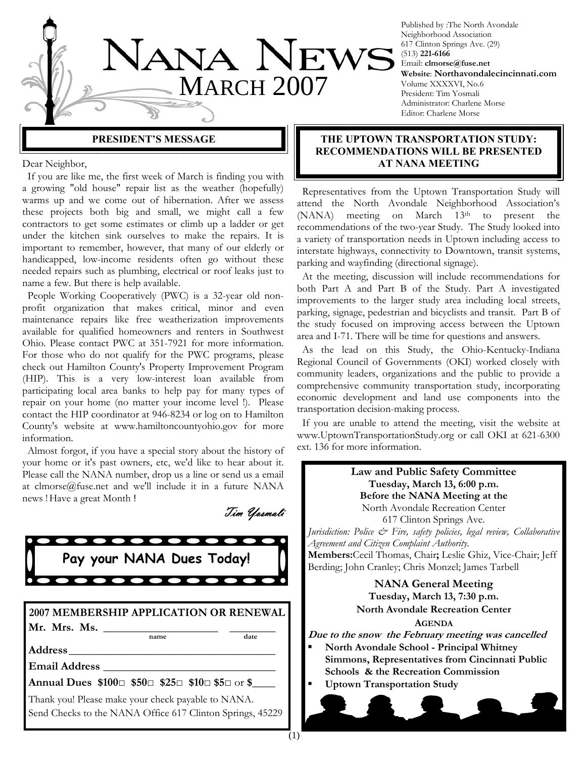

Published by :The North Avondale Neighborhood Association 617 Clinton Springs Ave. (29) (513) **221-6166** Email: **clmorse@fuse.net Website**: **Northavondalecincinnati.com** Volume XXXXVI, No.6 President: Tim Yosmali Administrator: Charlene Morse Editor: Charlene Morse

**PRESIDENT'S MESSAGE** 

Dear Neighbor,

 If you are like me, the first week of March is finding you with a growing "old house" repair list as the weather (hopefully) warms up and we come out of hibernation. After we assess these projects both big and small, we might call a few contractors to get some estimates or climb up a ladder or get under the kitchen sink ourselves to make the repairs. It is important to remember, however, that many of our elderly or handicapped, low-income residents often go without these needed repairs such as plumbing, electrical or roof leaks just to name a few. But there is help available.

 People Working Cooperatively (PWC) is a 32-year old nonprofit organization that makes critical, minor and even maintenance repairs like free weatherization improvements available for qualified homeowners and renters in Southwest Ohio. Please contact PWC at 351-7921 for more information. For those who do not qualify for the PWC programs, please check out Hamilton County's Property Improvement Program (HIP). This is a very low-interest loan available from participating local area banks to help pay for many types of repair on your home (no matter your income level !). Please contact the HIP coordinator at 946-8234 or log on to Hamilton County's website at www.hamiltoncountyohio.gov for more information.

 Almost forgot, if you have a special story about the history of your home or it's past owners, etc, we'd like to hear about it. Please call the NANA number, drop us a line or send us a email at clmorse@fuse.net and we'll include it in a future NANA news ! Have a great Month !

Tim Yosmali



|              | 2007 MEMBERSHIP APPLICATION OR RENEWAL |       |
|--------------|----------------------------------------|-------|
| Mr. Mrs. Ms. |                                        |       |
|              | name.                                  | date. |

**Address**\_\_\_\_\_\_\_\_\_\_\_\_\_\_\_\_\_\_\_\_\_\_\_\_\_\_\_\_\_\_\_\_\_\_\_\_

**Email Address** \_\_\_\_\_\_\_\_\_\_\_\_\_\_\_\_\_\_\_\_\_\_\_\_\_\_\_\_\_\_

**Annual Dues \$100**□ **\$50**□ **\$25**□ **\$10**□ **\$5**□ or **\$**\_\_\_\_

Thank you! Please make your check payable to NANA. Send Checks to the NANA Office 617 Clinton Springs, 45229

## **THE UPTOWN TRANSPORTATION STUDY: RECOMMENDATIONS WILL BE PRESENTED AT NANA MEETING**

 Representatives from the Uptown Transportation Study will attend the North Avondale Neighborhood Association's (NANA) meeting on March 13<sup>th</sup> to present the recommendations of the two-year Study. The Study looked into a variety of transportation needs in Uptown including access to interstate highways, connectivity to Downtown, transit systems, parking and wayfinding (directional signage).

 At the meeting, discussion will include recommendations for both Part A and Part B of the Study. Part A investigated improvements to the larger study area including local streets, parking, signage, pedestrian and bicyclists and transit. Part B of the study focused on improving access between the Uptown area and I-71. There will be time for questions and answers.

 As the lead on this Study, the Ohio-Kentucky-Indiana Regional Council of Governments (OKI) worked closely with community leaders, organizations and the public to provide a comprehensive community transportation study, incorporating economic development and land use components into the transportation decision-making process.

 If you are unable to attend the meeting, visit the website at www.UptownTransportationStudy.org or call OKI at 621-6300 ext. 136 for more information.

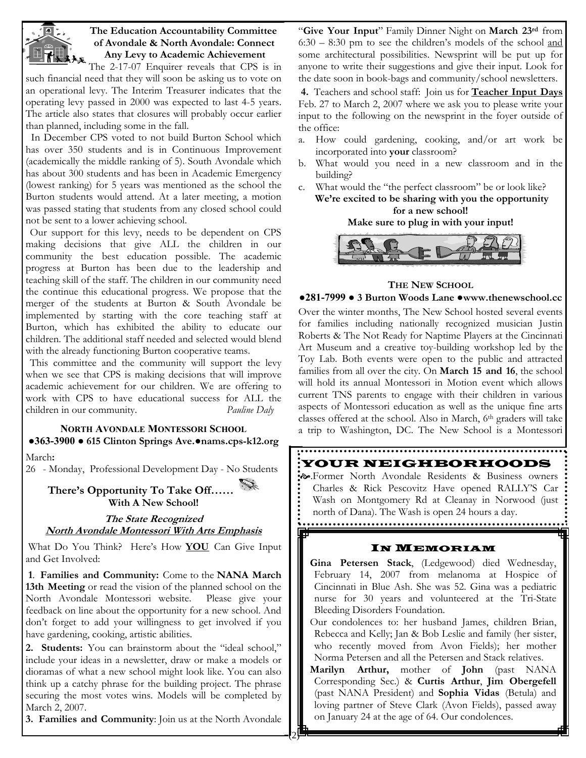

## **The Education Accountability Committee of Avondale & North Avondale: Connect Any Levy to Academic Achievement**

The  $2-17-07$  Enquirer reveals that CPS is in such financial need that they will soon be asking us to vote on an operational levy. The Interim Treasurer indicates that the operating levy passed in 2000 was expected to last 4-5 years. The article also states that closures will probably occur earlier than planned, including some in the fall.

 In December CPS voted to not build Burton School which has over 350 students and is in Continuous Improvement (academically the middle ranking of 5). South Avondale which has about 300 students and has been in Academic Emergency (lowest ranking) for 5 years was mentioned as the school the Burton students would attend. At a later meeting, a motion was passed stating that students from any closed school could not be sent to a lower achieving school.

Our support for this levy, needs to be dependent on CPS making decisions that give ALL the children in our community the best education possible. The academic progress at Burton has been due to the leadership and teaching skill of the staff. The children in our community need the continue this educational progress. We propose that the merger of the students at Burton & South Avondale be implemented by starting with the core teaching staff at Burton, which has exhibited the ability to educate our children. The additional staff needed and selected would blend with the already functioning Burton cooperative teams.

This committee and the community will support the levy when we see that CPS is making decisions that will improve academic achievement for our children. We are offering to work with CPS to have educational success for ALL the children in our community. *Pauline Daly* 

# **NORTH AVONDALE MONTESSORI SCHOOL ●363-3900 ● 615 Clinton Springs Ave.●nams.cps-k12.org**

March**:**

26 - Monday, Professional Development Day - No Students

**There's Opportunity To Take Off…… With A New School!** 

**The State Recognized North Avondale Montessori With Arts Emphasis**

 What Do You Think? Here's How **YOU** Can Give Input and Get Involved:

**1**. **Families and Community:** Come to the **NANA March 13th Meeting** or read the vision of the planned school on the North Avondale Montessori website. Please give your feedback on line about the opportunity for a new school. And don't forget to add your willingness to get involved if you have gardening, cooking, artistic abilities.

**2. Students:** You can brainstorm about the "ideal school," include your ideas in a newsletter, draw or make a models or dioramas of what a new school might look like. You can also think up a catchy phrase for the building project. The phrase securing the most votes wins. Models will be completed by March 2, 2007.

**3. Families and Community**: Join us at the North Avondale

"**Give Your Input**" Family Dinner Night on **March 23rd** from 6:30 – 8:30 pm to see the children's models of the school and some architectural possibilities. Newsprint will be put up for anyone to write their suggestions and give their input. Look for the date soon in book-bags and community/school newsletters.

**4.** Teachers and school staff: Join us for **Teacher Input Days**  Feb. 27 to March 2, 2007 where we ask you to please write your input to the following on the newsprint in the foyer outside of the office:

- a. How could gardening, cooking, and/or art work be incorporated into **your** classroom?
- b. What would you need in a new classroom and in the building?
- c. What would the "the perfect classroom" be or look like? **We're excited to be sharing with you the opportunity for a new school!**

#### **Make sure to plug in with your input!**



# **THE NEW SCHOOL**

## **●281-7999 ● 3 Burton Woods Lane ●www.thenewschool.cc**

Over the winter months, The New School hosted several events for families including nationally recognized musician Justin Roberts & The Not Ready for Naptime Players at the Cincinnati Art Museum and a creative toy-building workshop led by the Toy Lab. Both events were open to the public and attracted families from all over the city. On **March 15 and 16**, the school will hold its annual Montessori in Motion event which allows current TNS parents to engage with their children in various aspects of Montessori education as well as the unique fine arts classes offered at the school. Also in March, 6th graders will take a trip to Washington, DC. The New School is a Montessori

#### YOUR NEIGHBORHOODS

[.Former North Avondale Residents & Business owners Charles & Rick Pescovitz Have opened RALLY'S Car Wash on Montgomery Rd at Cleanay in Norwood (just north of Dana). The Wash is open 24 hours a day.

## IN MEMORIAM

**Gina Petersen Stack**, (Ledgewood) died Wednesday, February 14, 2007 from melanoma at Hospice of Cincinnati in Blue Ash. She was 52. Gina was a pediatric nurse for 30 years and volunteered at the Tri-State Bleeding Disorders Foundation.

Our condolences to: her husband James, children Brian, Rebecca and Kelly; Jan & Bob Leslie and family (her sister, who recently moved from Avon Fields); her mother Norma Petersen and all the Petersen and Stack relatives.

**Marilyn Arthur,** mother of **John** (past NANA Corresponding Sec.) & **Curtis Arthur**, **Jim Obergefell**  (past NANA President) and **Sophia Vidas** (Betula) and loving partner of Steve Clark (Avon Fields), passed away on January 24 at the age of 64. Our condolences.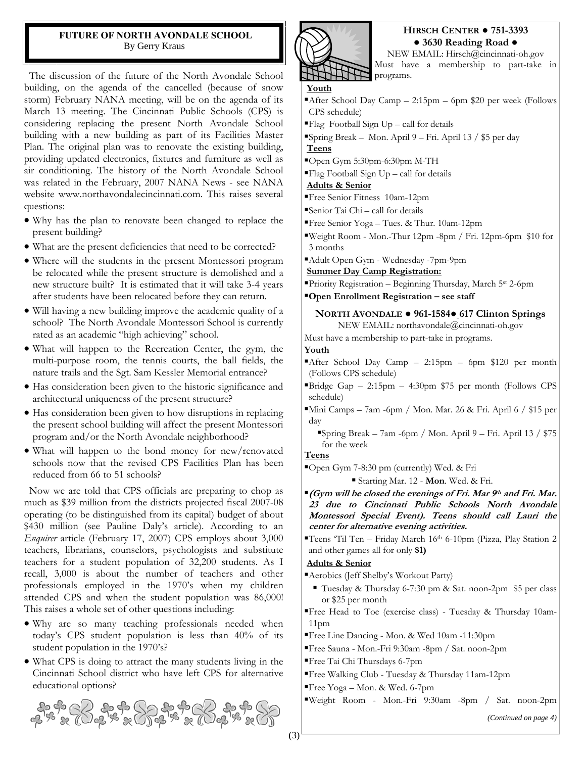#### **FUTURE OF NORTH AVONDALE SCHOOL**  By Gerry Kraus

 The discussion of the future of the North Avondale School building, on the agenda of the cancelled (because of snow storm) February NANA meeting, will be on the agenda of its March 13 meeting. The Cincinnati Public Schools (CPS) is considering replacing the present North Avondale School building with a new building as part of its Facilities Master Plan. The original plan was to renovate the existing building, providing updated electronics, fixtures and furniture as well as air conditioning. The history of the North Avondale School was related in the February, 2007 NANA News - see NANA website www.northavondalecincinnati.com. This raises several questions:

- Why has the plan to renovate been changed to replace the present building?
- What are the present deficiencies that need to be corrected?
- Where will the students in the present Montessori program be relocated while the present structure is demolished and a new structure built? It is estimated that it will take 3-4 years after students have been relocated before they can return.
- Will having a new building improve the academic quality of a school? The North Avondale Montessori School is currently rated as an academic "high achieving" school.
- What will happen to the Recreation Center, the gym, the multi-purpose room, the tennis courts, the ball fields, the nature trails and the Sgt. Sam Kessler Memorial entrance?
- Has consideration been given to the historic significance and architectural uniqueness of the present structure?
- Has consideration been given to how disruptions in replacing the present school building will affect the present Montessori program and/or the North Avondale neighborhood?
- What will happen to the bond money for new/renovated schools now that the revised CPS Facilities Plan has been reduced from 66 to 51 schools?

 Now we are told that CPS officials are preparing to chop as much as \$39 million from the districts projected fiscal 2007-08 operating (to be distinguished from its capital) budget of about \$430 million (see Pauline Daly's article). According to an *Enquirer* article (February 17, 2007) CPS employs about 3,000 teachers, librarians, counselors, psychologists and substitute teachers for a student population of 32,200 students. As I recall, 3,000 is about the number of teachers and other professionals employed in the 1970's when my children attended CPS and when the student population was 86,000! This raises a whole set of other questions including:

- Why are so many teaching professionals needed when today's CPS student population is less than 40% of its student population in the 1970's?
- What CPS is doing to attract the many students living in the Cincinnati School district who have left CPS for alternative educational options?





## **HIRSCH CENTER ● 751-3393 ● 3630 Reading Road ●**

NEW EMAIL: Hirsch@cincinnati-oh.gov Must have a membership to part-take in

- **Youth**
- After School Day Camp  $-2:15$ pm  $-6$ pm \$20 per week (Follows CPS schedule)
- $\blacksquare$  Flag Football Sign Up call for details
- ▪Spring Break Mon. April 9 Fri. April 13 / \$5 per day **Teens**
- ▪Open Gym 5:30pm-6:30pm M-TH
- $\blacksquare$ Flag Football Sign Up call for details

#### **Adults & Senior**

- ▪Free Senior Fitness 10am-12pm
- ▪Senior Tai Chi call for details
- ▪Free Senior Yoga Tues. & Thur. 10am-12pm
- ▪Weight Room Mon.-Thur 12pm -8pm / Fri. 12pm-6pm \$10 for 3 months
- ▪Adult Open Gym Wednesday -7pm-9pm

**Summer Day Camp Registration:**

▪Priority Registration – Beginning Thursday, March 5st 2-6pm

▪**Open Enrollment Registration – see staff** 

# **NORTH AVONDALE ● 961-1584● 617 Clinton Springs**

NEW EMAIL: northavondale@cincinnati-oh.gov

Must have a membership to part-take in programs.

**Youth**

- After School Day Camp  $-2:15$ pm  $-6$ pm \$120 per month (Follows CPS schedule)
- $\text{P}\text{Bridge }$  Gap 2:15pm 4:30pm \$75 per month (Follows CPS) schedule)
- ▪Mini Camps 7am -6pm / Mon. Mar. 26 & Fri. April 6 / \$15 per day

▪Spring Break – 7am -6pm / Mon. April 9 – Fri. April 13 / \$75 for the week

#### **Teens**

▪Open Gym 7-8:30 pm (currently) Wed. & Fri

▪ Starting Mar. 12 - **Mon**. Wed. & Fri.

- ▪**(Gym will be closed the evenings of Fri. Mar 9th and Fri. Mar. 23 due to Cincinnati Public Schools North Avondale Montessori Special Event). Teens should call Lauri the center for alternative evening activities.**
- ▪Teens 'Til Ten Friday March 16th 6-10pm (Pizza, Play Station 2 and other games all for only **\$1)**

#### **Adults & Senior**

▪Aerobics (Jeff Shelby's Workout Party)

- Tuesday & Thursday 6-7:30 pm & Sat. noon-2pm \$5 per class or \$25 per month
- ▪Free Head to Toe (exercise class) Tuesday & Thursday 10am-11pm
- ▪Free Line Dancing Mon. & Wed 10am -11:30pm
- ▪Free Sauna Mon.-Fri 9:30am -8pm / Sat. noon-2pm
- ▪Free Tai Chi Thursdays 6-7pm
- ▪Free Walking Club Tuesday & Thursday 11am-12pm
- ▪Free Yoga Mon. & Wed. 6-7pm

▪Weight Room - Mon.-Fri 9:30am -8pm / Sat. noon-2pm